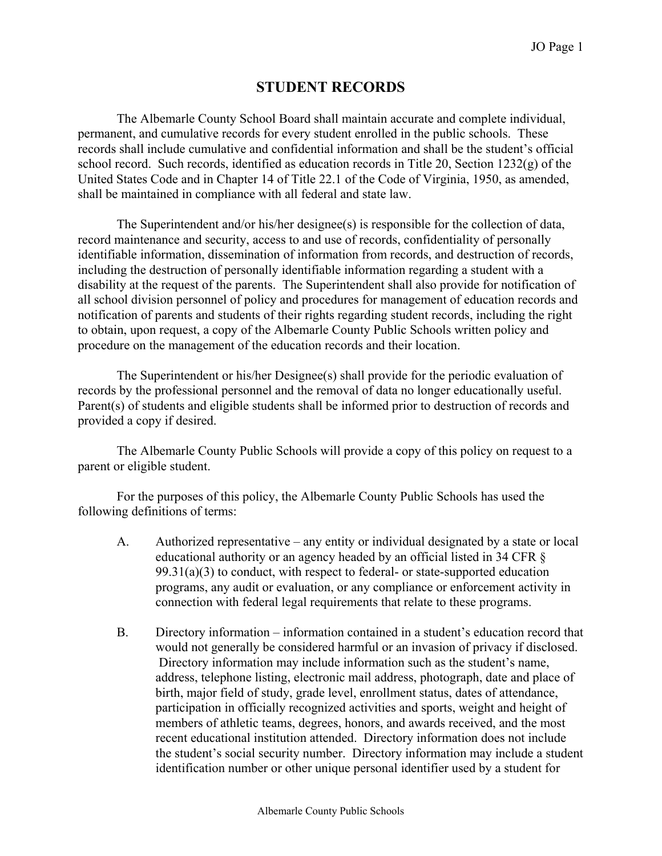# **STUDENT RECORDS**

The Albemarle County School Board shall maintain accurate and complete individual, permanent, and cumulative records for every student enrolled in the public schools. These records shall include cumulative and confidential information and shall be the student's official school record. Such records, identified as education records in Title 20, Section 1232(g) of the United States Code and in Chapter 14 of Title 22.1 of the Code of Virginia, 1950, as amended, shall be maintained in compliance with all federal and state law.

The Superintendent and/or his/her designee(s) is responsible for the collection of data, record maintenance and security, access to and use of records, confidentiality of personally identifiable information, dissemination of information from records, and destruction of records, including the destruction of personally identifiable information regarding a student with a disability at the request of the parents. The Superintendent shall also provide for notification of all school division personnel of policy and procedures for management of education records and notification of parents and students of their rights regarding student records, including the right to obtain, upon request, a copy of the Albemarle County Public Schools written policy and procedure on the management of the education records and their location.

The Superintendent or his/her Designee(s) shall provide for the periodic evaluation of records by the professional personnel and the removal of data no longer educationally useful. Parent(s) of students and eligible students shall be informed prior to destruction of records and provided a copy if desired.

The Albemarle County Public Schools will provide a copy of this policy on request to a parent or eligible student.

For the purposes of this policy, the Albemarle County Public Schools has used the following definitions of terms:

- A. Authorized representative any entity or individual designated by a state or local educational authority or an agency headed by an official listed in 34 CFR §  $99.31(a)(3)$  to conduct, with respect to federal- or state-supported education programs, any audit or evaluation, or any compliance or enforcement activity in connection with federal legal requirements that relate to these programs.
- B. Directory information information contained in a student's education record that would not generally be considered harmful or an invasion of privacy if disclosed. Directory information may include information such as the student's name, address, telephone listing, electronic mail address, photograph, date and place of birth, major field of study, grade level, enrollment status, dates of attendance, participation in officially recognized activities and sports, weight and height of members of athletic teams, degrees, honors, and awards received, and the most recent educational institution attended. Directory information does not include the student's social security number. Directory information may include a student identification number or other unique personal identifier used by a student for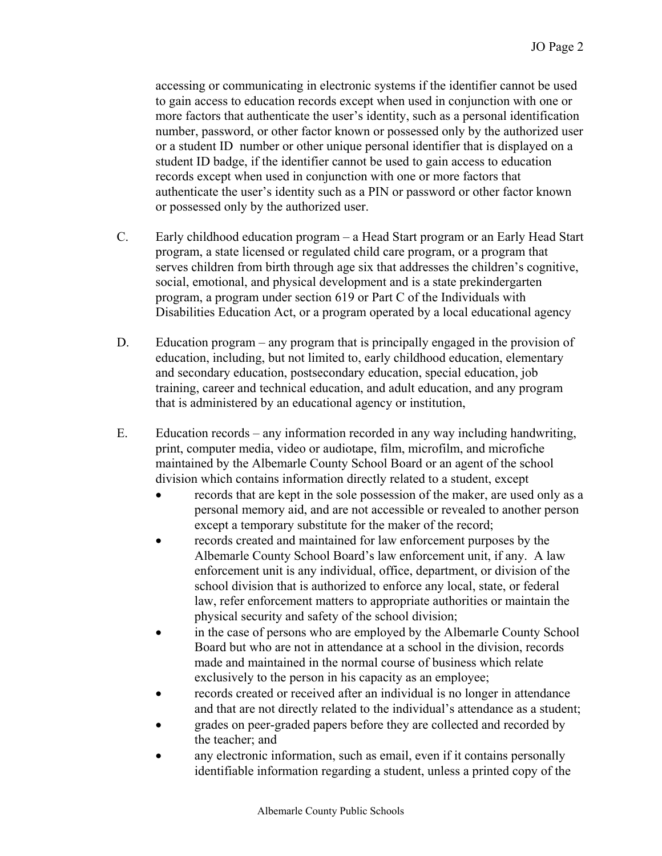accessing or communicating in electronic systems if the identifier cannot be used to gain access to education records except when used in conjunction with one or more factors that authenticate the user's identity, such as a personal identification number, password, or other factor known or possessed only by the authorized user or a student ID number or other unique personal identifier that is displayed on a student ID badge, if the identifier cannot be used to gain access to education records except when used in conjunction with one or more factors that authenticate the user's identity such as a PIN or password or other factor known or possessed only by the authorized user.

- C. Early childhood education program a Head Start program or an Early Head Start program, a state licensed or regulated child care program, or a program that serves children from birth through age six that addresses the children's cognitive, social, emotional, and physical development and is a state prekindergarten program, a program under section 619 or Part C of the Individuals with Disabilities Education Act, or a program operated by a local educational agency
- D. Education program any program that is principally engaged in the provision of education, including, but not limited to, early childhood education, elementary and secondary education, postsecondary education, special education, job training, career and technical education, and adult education, and any program that is administered by an educational agency or institution,
- E. Education records any information recorded in any way including handwriting, print, computer media, video or audiotape, film, microfilm, and microfiche maintained by the Albemarle County School Board or an agent of the school division which contains information directly related to a student, except
	- records that are kept in the sole possession of the maker, are used only as a personal memory aid, and are not accessible or revealed to another person except a temporary substitute for the maker of the record;
	- records created and maintained for law enforcement purposes by the Albemarle County School Board's law enforcement unit, if any. A law enforcement unit is any individual, office, department, or division of the school division that is authorized to enforce any local, state, or federal law, refer enforcement matters to appropriate authorities or maintain the physical security and safety of the school division;
	- in the case of persons who are employed by the Albemarle County School Board but who are not in attendance at a school in the division, records made and maintained in the normal course of business which relate exclusively to the person in his capacity as an employee;
	- records created or received after an individual is no longer in attendance and that are not directly related to the individual's attendance as a student;
	- grades on peer-graded papers before they are collected and recorded by the teacher; and
	- any electronic information, such as email, even if it contains personally identifiable information regarding a student, unless a printed copy of the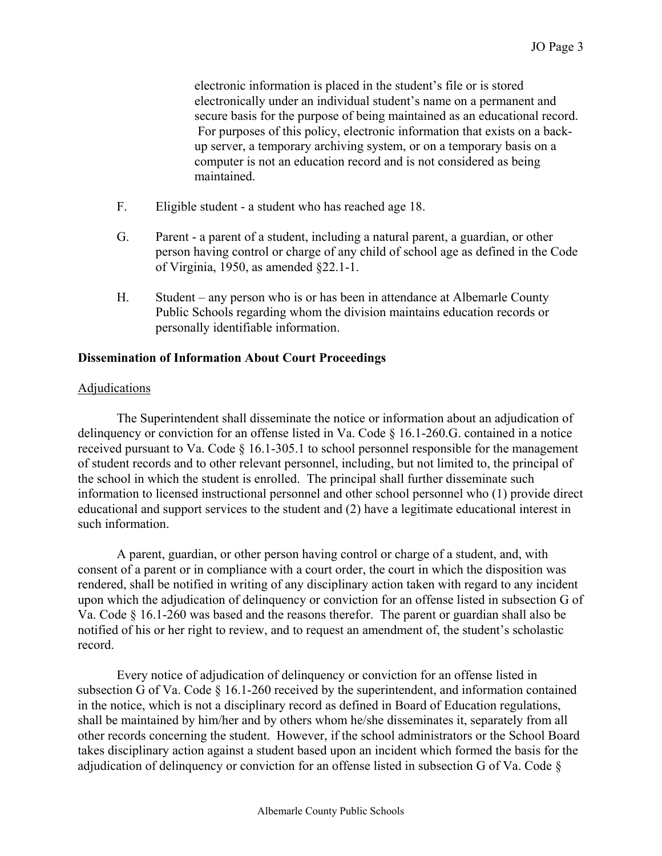electronic information is placed in the student's file or is stored electronically under an individual student's name on a permanent and secure basis for the purpose of being maintained as an educational record. For purposes of this policy, electronic information that exists on a backup server, a temporary archiving system, or on a temporary basis on a computer is not an education record and is not considered as being maintained.

- F. Eligible student a student who has reached age 18.
- G. Parent a parent of a student, including a natural parent, a guardian, or other person having control or charge of any child of school age as defined in the Code of Virginia, 1950, as amended §22.1-1.
- H. Student any person who is or has been in attendance at Albemarle County Public Schools regarding whom the division maintains education records or personally identifiable information.

#### **Dissemination of Information About Court Proceedings**

#### **Adjudications**

The Superintendent shall disseminate the notice or information about an adjudication of delinquency or conviction for an offense listed in Va. Code § 16.1-260.G. contained in a notice received pursuant to Va. Code § 16.1-305.1 to school personnel responsible for the management of student records and to other relevant personnel, including, but not limited to, the principal of the school in which the student is enrolled. The principal shall further disseminate such information to licensed instructional personnel and other school personnel who (1) provide direct educational and support services to the student and (2) have a legitimate educational interest in such information.

A parent, guardian, or other person having control or charge of a student, and, with consent of a parent or in compliance with a court order, the court in which the disposition was rendered, shall be notified in writing of any disciplinary action taken with regard to any incident upon which the adjudication of delinquency or conviction for an offense listed in subsection G of Va. Code § 16.1-260 was based and the reasons therefor. The parent or guardian shall also be notified of his or her right to review, and to request an amendment of, the student's scholastic record.

Every notice of adjudication of delinquency or conviction for an offense listed in subsection G of Va. Code § 16.1-260 received by the superintendent, and information contained in the notice, which is not a disciplinary record as defined in Board of Education regulations, shall be maintained by him/her and by others whom he/she disseminates it, separately from all other records concerning the student. However, if the school administrators or the School Board takes disciplinary action against a student based upon an incident which formed the basis for the adjudication of delinquency or conviction for an offense listed in subsection G of Va. Code §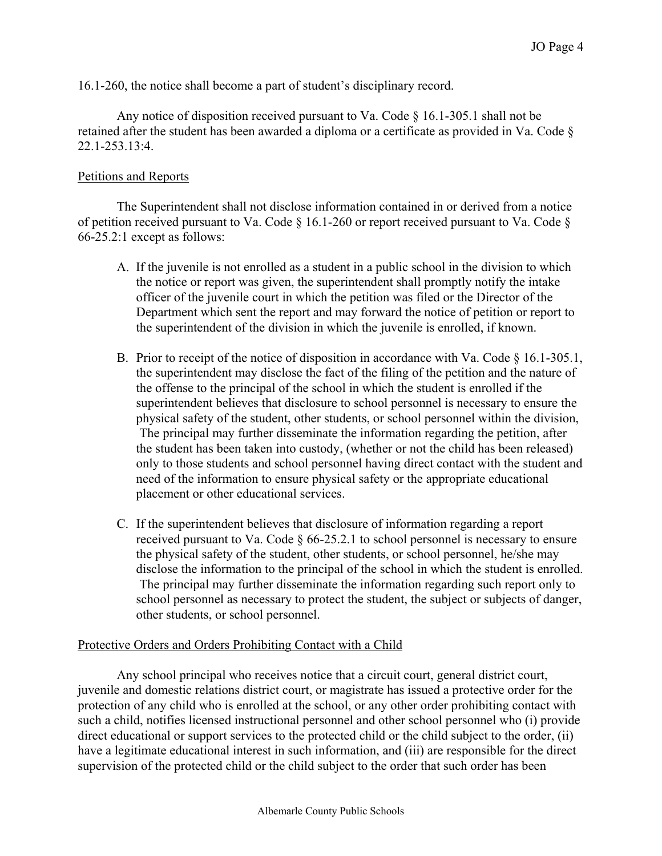16.1-260, the notice shall become a part of student's disciplinary record.

Any notice of disposition received pursuant to Va. Code § 16.1-305.1 shall not be retained after the student has been awarded a diploma or a certificate as provided in Va. Code § 22.1-253.13:4.

# Petitions and Reports

The Superintendent shall not disclose information contained in or derived from a notice of petition received pursuant to Va. Code § 16.1-260 or report received pursuant to Va. Code § 66-25.2:1 except as follows:

- A. If the juvenile is not enrolled as a student in a public school in the division to which the notice or report was given, the superintendent shall promptly notify the intake officer of the juvenile court in which the petition was filed or the Director of the Department which sent the report and may forward the notice of petition or report to the superintendent of the division in which the juvenile is enrolled, if known.
- B. Prior to receipt of the notice of disposition in accordance with Va. Code § 16.1-305.1, the superintendent may disclose the fact of the filing of the petition and the nature of the offense to the principal of the school in which the student is enrolled if the superintendent believes that disclosure to school personnel is necessary to ensure the physical safety of the student, other students, or school personnel within the division, The principal may further disseminate the information regarding the petition, after the student has been taken into custody, (whether or not the child has been released) only to those students and school personnel having direct contact with the student and need of the information to ensure physical safety or the appropriate educational placement or other educational services.
- C. If the superintendent believes that disclosure of information regarding a report received pursuant to Va. Code § 66-25.2.1 to school personnel is necessary to ensure the physical safety of the student, other students, or school personnel, he/she may disclose the information to the principal of the school in which the student is enrolled. The principal may further disseminate the information regarding such report only to school personnel as necessary to protect the student, the subject or subjects of danger, other students, or school personnel.

## Protective Orders and Orders Prohibiting Contact with a Child

 Any school principal who receives notice that a circuit court, general district court, juvenile and domestic relations district court, or magistrate has issued a protective order for the protection of any child who is enrolled at the school, or any other order prohibiting contact with such a child, notifies licensed instructional personnel and other school personnel who (i) provide direct educational or support services to the protected child or the child subject to the order, (ii) have a legitimate educational interest in such information, and (iii) are responsible for the direct supervision of the protected child or the child subject to the order that such order has been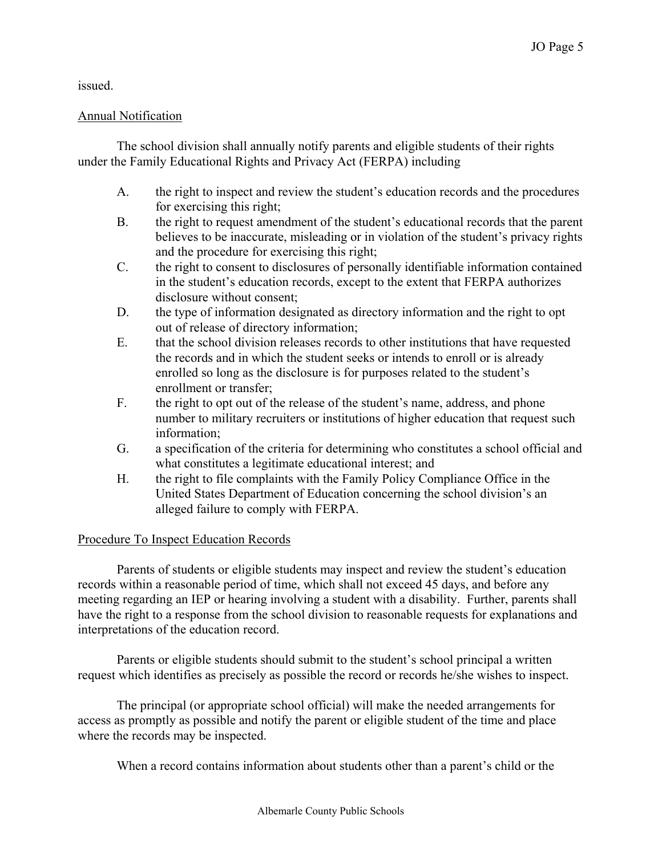issued.

# Annual Notification

The school division shall annually notify parents and eligible students of their rights under the Family Educational Rights and Privacy Act (FERPA) including

- A. the right to inspect and review the student's education records and the procedures for exercising this right;
- B. the right to request amendment of the student's educational records that the parent believes to be inaccurate, misleading or in violation of the student's privacy rights and the procedure for exercising this right;
- C. the right to consent to disclosures of personally identifiable information contained in the student's education records, except to the extent that FERPA authorizes disclosure without consent;
- D. the type of information designated as directory information and the right to opt out of release of directory information;
- E. that the school division releases records to other institutions that have requested the records and in which the student seeks or intends to enroll or is already enrolled so long as the disclosure is for purposes related to the student's enrollment or transfer;
- F. the right to opt out of the release of the student's name, address, and phone number to military recruiters or institutions of higher education that request such information;
- G. a specification of the criteria for determining who constitutes a school official and what constitutes a legitimate educational interest; and
- H. the right to file complaints with the Family Policy Compliance Office in the United States Department of Education concerning the school division's an alleged failure to comply with FERPA.

# Procedure To Inspect Education Records

Parents of students or eligible students may inspect and review the student's education records within a reasonable period of time, which shall not exceed 45 days, and before any meeting regarding an IEP or hearing involving a student with a disability. Further, parents shall have the right to a response from the school division to reasonable requests for explanations and interpretations of the education record.

Parents or eligible students should submit to the student's school principal a written request which identifies as precisely as possible the record or records he/she wishes to inspect.

The principal (or appropriate school official) will make the needed arrangements for access as promptly as possible and notify the parent or eligible student of the time and place where the records may be inspected.

When a record contains information about students other than a parent's child or the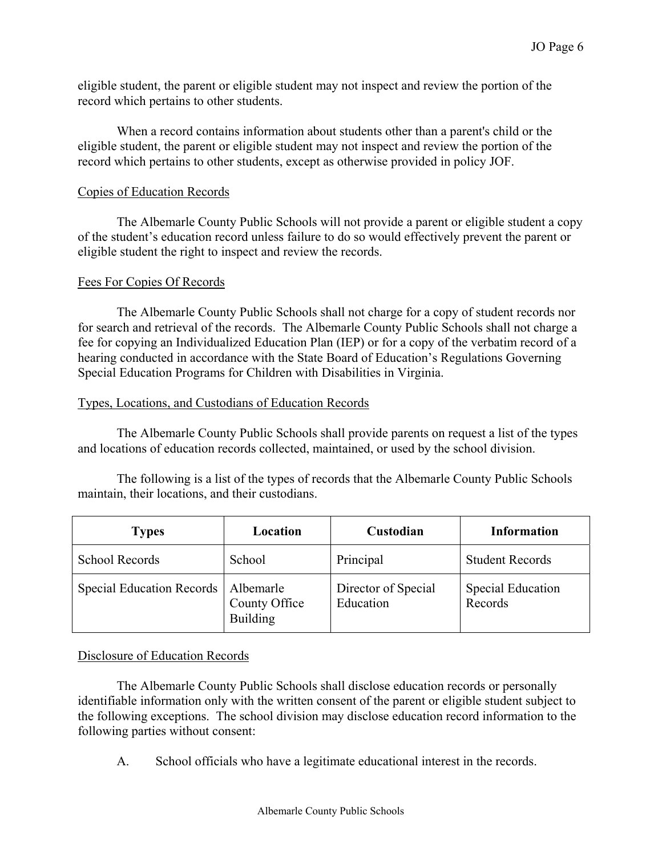eligible student, the parent or eligible student may not inspect and review the portion of the record which pertains to other students.

When a record contains information about students other than a parent's child or the eligible student, the parent or eligible student may not inspect and review the portion of the record which pertains to other students, except as otherwise provided in policy JOF.

## Copies of Education Records

The Albemarle County Public Schools will not provide a parent or eligible student a copy of the student's education record unless failure to do so would effectively prevent the parent or eligible student the right to inspect and review the records.

#### Fees For Copies Of Records

The Albemarle County Public Schools shall not charge for a copy of student records nor for search and retrieval of the records. The Albemarle County Public Schools shall not charge a fee for copying an Individualized Education Plan (IEP) or for a copy of the verbatim record of a hearing conducted in accordance with the State Board of Education's Regulations Governing Special Education Programs for Children with Disabilities in Virginia.

#### Types, Locations, and Custodians of Education Records

The Albemarle County Public Schools shall provide parents on request a list of the types and locations of education records collected, maintained, or used by the school division.

The following is a list of the types of records that the Albemarle County Public Schools maintain, their locations, and their custodians.

| <b>Types</b>                          | Location                         | Custodian                        | <b>Information</b>                  |
|---------------------------------------|----------------------------------|----------------------------------|-------------------------------------|
| School Records                        | School                           | Principal                        | <b>Student Records</b>              |
| Special Education Records   Albemarle | County Office<br><b>Building</b> | Director of Special<br>Education | <b>Special Education</b><br>Records |

## Disclosure of Education Records

The Albemarle County Public Schools shall disclose education records or personally identifiable information only with the written consent of the parent or eligible student subject to the following exceptions. The school division may disclose education record information to the following parties without consent:

A. School officials who have a legitimate educational interest in the records.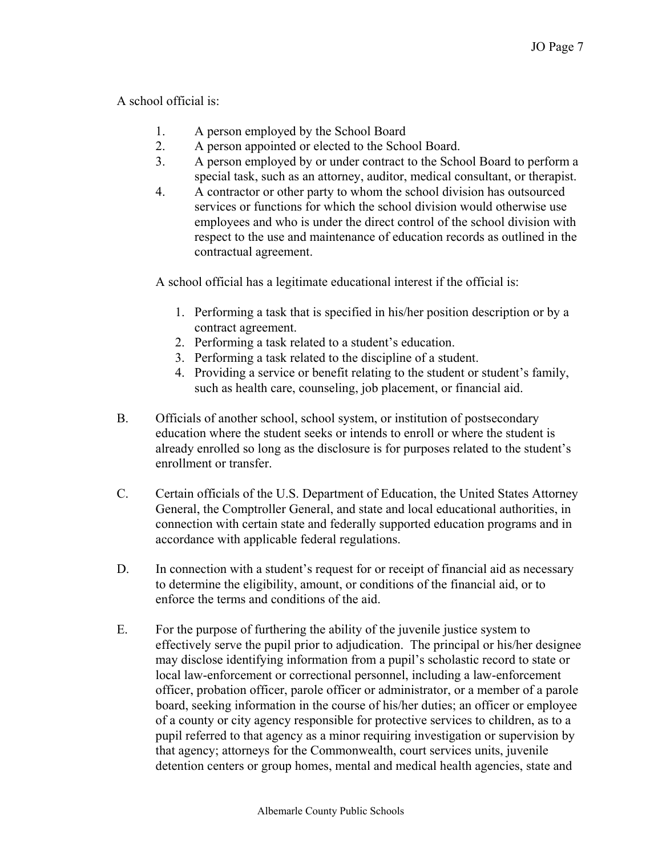# A school official is:

- 1. A person employed by the School Board
- 2. A person appointed or elected to the School Board.
- 3. A person employed by or under contract to the School Board to perform a special task, such as an attorney, auditor, medical consultant, or therapist.
- 4. A contractor or other party to whom the school division has outsourced services or functions for which the school division would otherwise use employees and who is under the direct control of the school division with respect to the use and maintenance of education records as outlined in the contractual agreement.

A school official has a legitimate educational interest if the official is:

- 1. Performing a task that is specified in his/her position description or by a contract agreement.
- 2. Performing a task related to a student's education.
- 3. Performing a task related to the discipline of a student.
- 4. Providing a service or benefit relating to the student or student's family, such as health care, counseling, job placement, or financial aid.
- B. Officials of another school, school system, or institution of postsecondary education where the student seeks or intends to enroll or where the student is already enrolled so long as the disclosure is for purposes related to the student's enrollment or transfer.
- C. Certain officials of the U.S. Department of Education, the United States Attorney General, the Comptroller General, and state and local educational authorities, in connection with certain state and federally supported education programs and in accordance with applicable federal regulations.
- D. In connection with a student's request for or receipt of financial aid as necessary to determine the eligibility, amount, or conditions of the financial aid, or to enforce the terms and conditions of the aid.
- E. For the purpose of furthering the ability of the juvenile justice system to effectively serve the pupil prior to adjudication. The principal or his/her designee may disclose identifying information from a pupil's scholastic record to state or local law-enforcement or correctional personnel, including a law-enforcement officer, probation officer, parole officer or administrator, or a member of a parole board, seeking information in the course of his/her duties; an officer or employee of a county or city agency responsible for protective services to children, as to a pupil referred to that agency as a minor requiring investigation or supervision by that agency; attorneys for the Commonwealth, court services units, juvenile detention centers or group homes, mental and medical health agencies, state and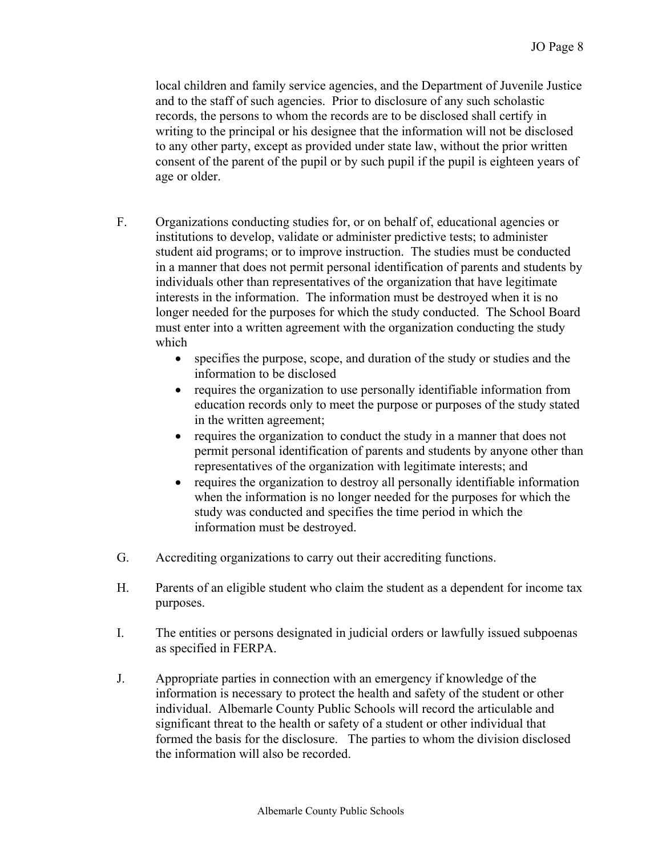local children and family service agencies, and the Department of Juvenile Justice and to the staff of such agencies. Prior to disclosure of any such scholastic records, the persons to whom the records are to be disclosed shall certify in writing to the principal or his designee that the information will not be disclosed to any other party, except as provided under state law, without the prior written consent of the parent of the pupil or by such pupil if the pupil is eighteen years of age or older.

- F. Organizations conducting studies for, or on behalf of, educational agencies or institutions to develop, validate or administer predictive tests; to administer student aid programs; or to improve instruction. The studies must be conducted in a manner that does not permit personal identification of parents and students by individuals other than representatives of the organization that have legitimate interests in the information. The information must be destroyed when it is no longer needed for the purposes for which the study conducted. The School Board must enter into a written agreement with the organization conducting the study which
	- specifies the purpose, scope, and duration of the study or studies and the information to be disclosed
	- requires the organization to use personally identifiable information from education records only to meet the purpose or purposes of the study stated in the written agreement;
	- requires the organization to conduct the study in a manner that does not permit personal identification of parents and students by anyone other than representatives of the organization with legitimate interests; and
	- requires the organization to destroy all personally identifiable information when the information is no longer needed for the purposes for which the study was conducted and specifies the time period in which the information must be destroyed.
- G. Accrediting organizations to carry out their accrediting functions.
- H. Parents of an eligible student who claim the student as a dependent for income tax purposes.
- I. The entities or persons designated in judicial orders or lawfully issued subpoenas as specified in FERPA.
- J. Appropriate parties in connection with an emergency if knowledge of the information is necessary to protect the health and safety of the student or other individual. Albemarle County Public Schools will record the articulable and significant threat to the health or safety of a student or other individual that formed the basis for the disclosure. The parties to whom the division disclosed the information will also be recorded.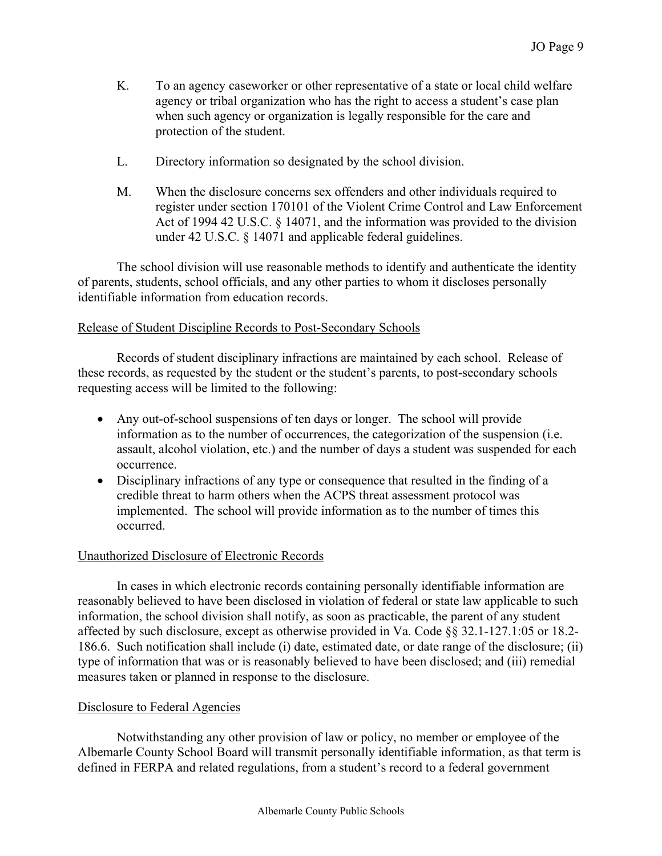- K. To an agency caseworker or other representative of a state or local child welfare agency or tribal organization who has the right to access a student's case plan when such agency or organization is legally responsible for the care and protection of the student.
- L. Directory information so designated by the school division.
- M. When the disclosure concerns sex offenders and other individuals required to register under section 170101 of the Violent Crime Control and Law Enforcement Act of 1994 42 U.S.C. § 14071, and the information was provided to the division under 42 U.S.C. § 14071 and applicable federal guidelines.

 The school division will use reasonable methods to identify and authenticate the identity of parents, students, school officials, and any other parties to whom it discloses personally identifiable information from education records.

## Release of Student Discipline Records to Post-Secondary Schools

 Records of student disciplinary infractions are maintained by each school. Release of these records, as requested by the student or the student's parents, to post-secondary schools requesting access will be limited to the following:

- Any out-of-school suspensions of ten days or longer. The school will provide information as to the number of occurrences, the categorization of the suspension (i.e. assault, alcohol violation, etc.) and the number of days a student was suspended for each occurrence.
- Disciplinary infractions of any type or consequence that resulted in the finding of a credible threat to harm others when the ACPS threat assessment protocol was implemented. The school will provide information as to the number of times this occurred.

## Unauthorized Disclosure of Electronic Records

 In cases in which electronic records containing personally identifiable information are reasonably believed to have been disclosed in violation of federal or state law applicable to such information, the school division shall notify, as soon as practicable, the parent of any student affected by such disclosure, except as otherwise provided in Va. Code §§ 32.1-127.1:05 or 18.2- 186.6. Such notification shall include (i) date, estimated date, or date range of the disclosure; (ii) type of information that was or is reasonably believed to have been disclosed; and (iii) remedial measures taken or planned in response to the disclosure.

#### Disclosure to Federal Agencies

 Notwithstanding any other provision of law or policy, no member or employee of the Albemarle County School Board will transmit personally identifiable information, as that term is defined in FERPA and related regulations, from a student's record to a federal government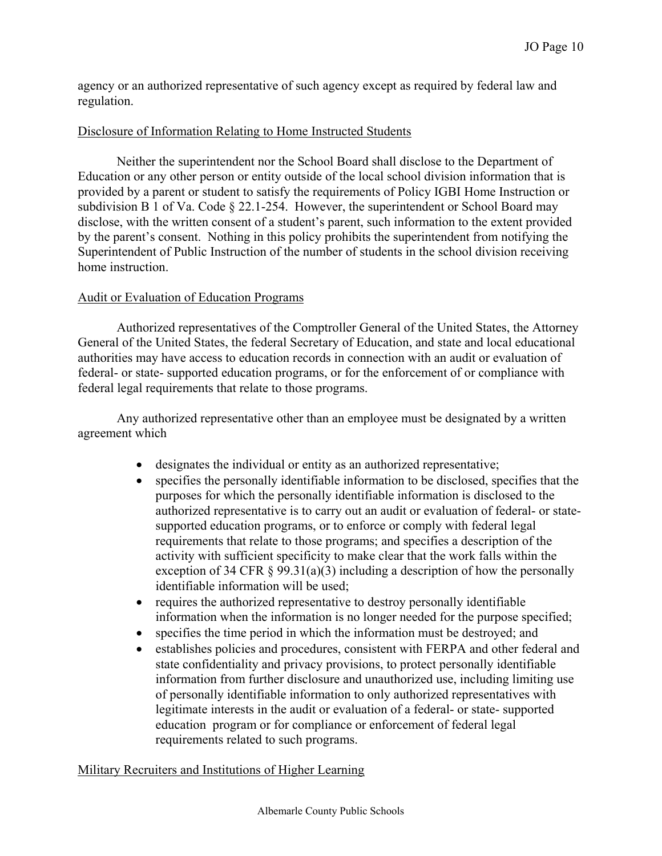agency or an authorized representative of such agency except as required by federal law and regulation.

## Disclosure of Information Relating to Home Instructed Students

 Neither the superintendent nor the School Board shall disclose to the Department of Education or any other person or entity outside of the local school division information that is provided by a parent or student to satisfy the requirements of Policy IGBI Home Instruction or subdivision B 1 of Va. Code § 22.1-254. However, the superintendent or School Board may disclose, with the written consent of a student's parent, such information to the extent provided by the parent's consent. Nothing in this policy prohibits the superintendent from notifying the Superintendent of Public Instruction of the number of students in the school division receiving home instruction.

# Audit or Evaluation of Education Programs

 Authorized representatives of the Comptroller General of the United States, the Attorney General of the United States, the federal Secretary of Education, and state and local educational authorities may have access to education records in connection with an audit or evaluation of federal- or state- supported education programs, or for the enforcement of or compliance with federal legal requirements that relate to those programs.

 Any authorized representative other than an employee must be designated by a written agreement which

- designates the individual or entity as an authorized representative;
- specifies the personally identifiable information to be disclosed, specifies that the purposes for which the personally identifiable information is disclosed to the authorized representative is to carry out an audit or evaluation of federal- or statesupported education programs, or to enforce or comply with federal legal requirements that relate to those programs; and specifies a description of the activity with sufficient specificity to make clear that the work falls within the exception of 34 CFR  $\S 99.31(a)(3)$  including a description of how the personally identifiable information will be used;
- requires the authorized representative to destroy personally identifiable information when the information is no longer needed for the purpose specified;
- specifies the time period in which the information must be destroyed; and
- establishes policies and procedures, consistent with FERPA and other federal and state confidentiality and privacy provisions, to protect personally identifiable information from further disclosure and unauthorized use, including limiting use of personally identifiable information to only authorized representatives with legitimate interests in the audit or evaluation of a federal- or state- supported education program or for compliance or enforcement of federal legal requirements related to such programs.

## Military Recruiters and Institutions of Higher Learning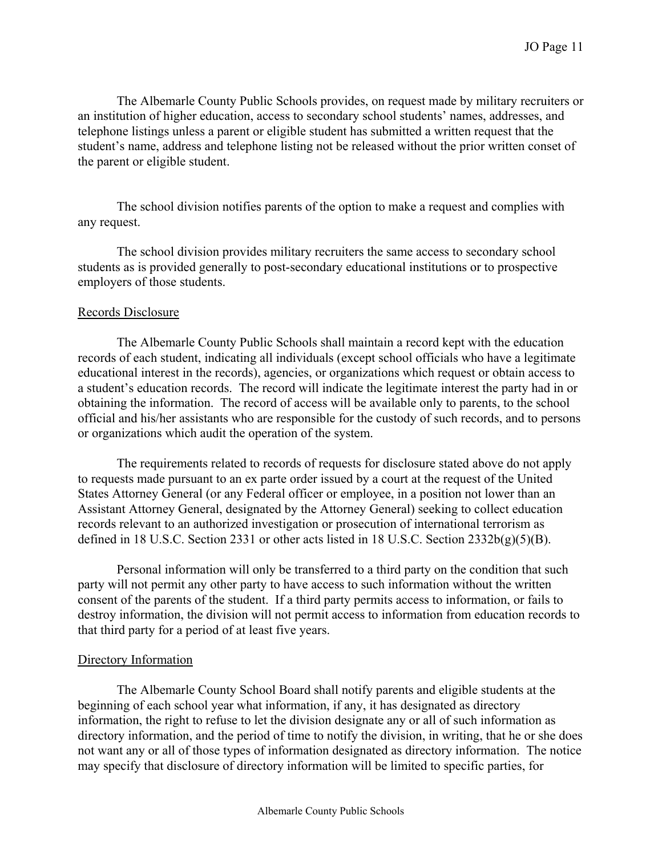The Albemarle County Public Schools provides, on request made by military recruiters or an institution of higher education, access to secondary school students' names, addresses, and telephone listings unless a parent or eligible student has submitted a written request that the student's name, address and telephone listing not be released without the prior written conset of the parent or eligible student.

 The school division notifies parents of the option to make a request and complies with any request.

 The school division provides military recruiters the same access to secondary school students as is provided generally to post-secondary educational institutions or to prospective employers of those students.

#### Records Disclosure

 The Albemarle County Public Schools shall maintain a record kept with the education records of each student, indicating all individuals (except school officials who have a legitimate educational interest in the records), agencies, or organizations which request or obtain access to a student's education records. The record will indicate the legitimate interest the party had in or obtaining the information. The record of access will be available only to parents, to the school official and his/her assistants who are responsible for the custody of such records, and to persons or organizations which audit the operation of the system.

 The requirements related to records of requests for disclosure stated above do not apply to requests made pursuant to an ex parte order issued by a court at the request of the United States Attorney General (or any Federal officer or employee, in a position not lower than an Assistant Attorney General, designated by the Attorney General) seeking to collect education records relevant to an authorized investigation or prosecution of international terrorism as defined in 18 U.S.C. Section 2331 or other acts listed in 18 U.S.C. Section 2332b(g)(5)(B).

Personal information will only be transferred to a third party on the condition that such party will not permit any other party to have access to such information without the written consent of the parents of the student. If a third party permits access to information, or fails to destroy information, the division will not permit access to information from education records to that third party for a period of at least five years.

## Directory Information

The Albemarle County School Board shall notify parents and eligible students at the beginning of each school year what information, if any, it has designated as directory information, the right to refuse to let the division designate any or all of such information as directory information, and the period of time to notify the division, in writing, that he or she does not want any or all of those types of information designated as directory information. The notice may specify that disclosure of directory information will be limited to specific parties, for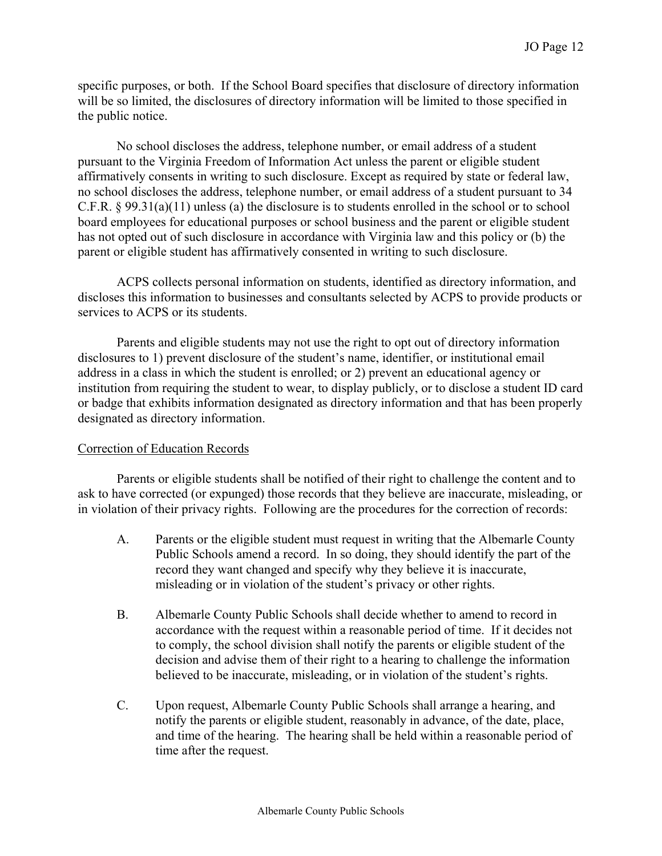specific purposes, or both. If the School Board specifies that disclosure of directory information will be so limited, the disclosures of directory information will be limited to those specified in the public notice.

No school discloses the address, telephone number, or email address of a student pursuant to the Virginia Freedom of Information Act unless the parent or eligible student affirmatively consents in writing to such disclosure. Except as required by state or federal law, no school discloses the address, telephone number, or email address of a student pursuant to 34 C.F.R. § 99.31(a)(11) unless (a) the disclosure is to students enrolled in the school or to school board employees for educational purposes or school business and the parent or eligible student has not opted out of such disclosure in accordance with Virginia law and this policy or (b) the parent or eligible student has affirmatively consented in writing to such disclosure.

ACPS collects personal information on students, identified as directory information, and discloses this information to businesses and consultants selected by ACPS to provide products or services to ACPS or its students.

Parents and eligible students may not use the right to opt out of directory information disclosures to 1) prevent disclosure of the student's name, identifier, or institutional email address in a class in which the student is enrolled; or 2) prevent an educational agency or institution from requiring the student to wear, to display publicly, or to disclose a student ID card or badge that exhibits information designated as directory information and that has been properly designated as directory information.

## Correction of Education Records

Parents or eligible students shall be notified of their right to challenge the content and to ask to have corrected (or expunged) those records that they believe are inaccurate, misleading, or in violation of their privacy rights. Following are the procedures for the correction of records:

- A. Parents or the eligible student must request in writing that the Albemarle County Public Schools amend a record. In so doing, they should identify the part of the record they want changed and specify why they believe it is inaccurate, misleading or in violation of the student's privacy or other rights.
- B. Albemarle County Public Schools shall decide whether to amend to record in accordance with the request within a reasonable period of time. If it decides not to comply, the school division shall notify the parents or eligible student of the decision and advise them of their right to a hearing to challenge the information believed to be inaccurate, misleading, or in violation of the student's rights.
- C. Upon request, Albemarle County Public Schools shall arrange a hearing, and notify the parents or eligible student, reasonably in advance, of the date, place, and time of the hearing. The hearing shall be held within a reasonable period of time after the request.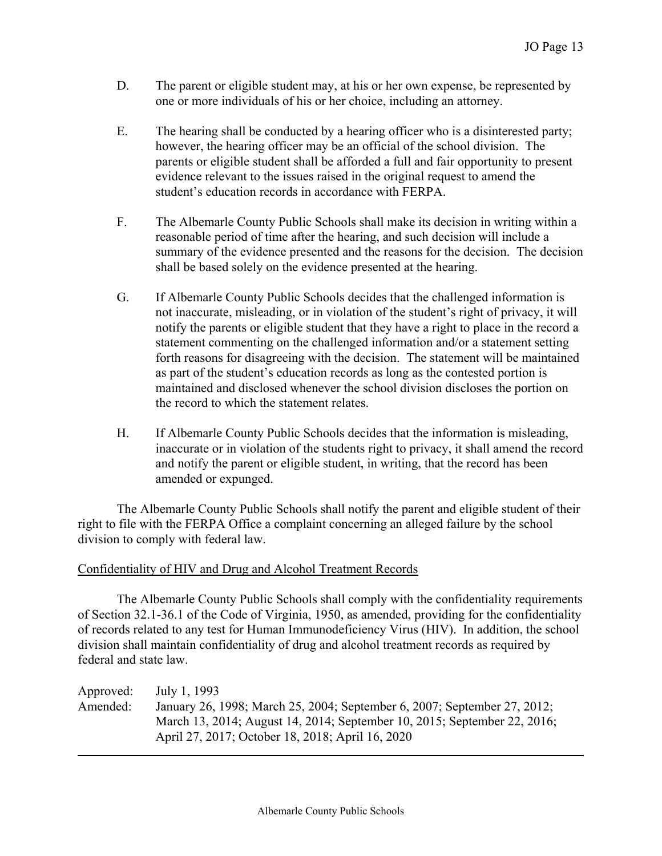- D. The parent or eligible student may, at his or her own expense, be represented by one or more individuals of his or her choice, including an attorney.
- E. The hearing shall be conducted by a hearing officer who is a disinterested party; however, the hearing officer may be an official of the school division. The parents or eligible student shall be afforded a full and fair opportunity to present evidence relevant to the issues raised in the original request to amend the student's education records in accordance with FERPA.
- F. The Albemarle County Public Schools shall make its decision in writing within a reasonable period of time after the hearing, and such decision will include a summary of the evidence presented and the reasons for the decision. The decision shall be based solely on the evidence presented at the hearing.
- G. If Albemarle County Public Schools decides that the challenged information is not inaccurate, misleading, or in violation of the student's right of privacy, it will notify the parents or eligible student that they have a right to place in the record a statement commenting on the challenged information and/or a statement setting forth reasons for disagreeing with the decision. The statement will be maintained as part of the student's education records as long as the contested portion is maintained and disclosed whenever the school division discloses the portion on the record to which the statement relates.
- H. If Albemarle County Public Schools decides that the information is misleading, inaccurate or in violation of the students right to privacy, it shall amend the record and notify the parent or eligible student, in writing, that the record has been amended or expunged.

The Albemarle County Public Schools shall notify the parent and eligible student of their right to file with the FERPA Office a complaint concerning an alleged failure by the school division to comply with federal law.

## Confidentiality of HIV and Drug and Alcohol Treatment Records

The Albemarle County Public Schools shall comply with the confidentiality requirements of Section 32.1-36.1 of the Code of Virginia, 1950, as amended, providing for the confidentiality of records related to any test for Human Immunodeficiency Virus (HIV). In addition, the school division shall maintain confidentiality of drug and alcohol treatment records as required by federal and state law.

| Approved: | July 1, 1993                                                             |
|-----------|--------------------------------------------------------------------------|
| Amended:  | January 26, 1998; March 25, 2004; September 6, 2007; September 27, 2012; |
|           | March 13, 2014; August 14, 2014; September 10, 2015; September 22, 2016; |
|           | April 27, 2017; October 18, 2018; April 16, 2020                         |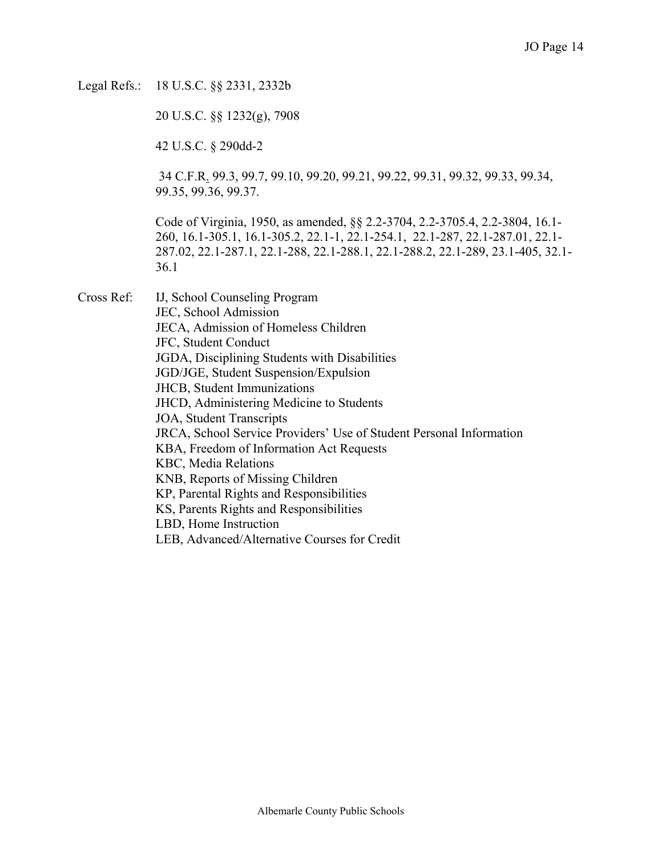Legal Refs.: 18 U.S.C. §§ 2331, 2332b

20 U.S.C. §§ 1232(g), 7908

42 U.S.C. § 290dd-2

 34 C.F.R. 99.3, 99.7, 99.10, 99.20, 99.21, 99.22, 99.31, 99.32, 99.33, 99.34, 99.35, 99.36, 99.37.

Code of Virginia, 1950, as amended, §§ 2.2-3704, 2.2-3705.4, 2.2-3804, 16.1- 260, 16.1-305.1, 16.1-305.2, 22.1-1, 22.1-254.1, 22.1-287, 22.1-287.01, 22.1- 287.02, 22.1-287.1, 22.1-288, 22.1-288.1, 22.1-288.2, 22.1-289, 23.1-405, 32.1- 36.1

Cross Ref: IJ, School Counseling Program JEC, School Admission JECA, Admission of Homeless Children JFC, Student Conduct JGDA, Disciplining Students with Disabilities JGD/JGE, Student Suspension/Expulsion JHCB, Student Immunizations JHCD, Administering Medicine to Students JOA, Student Transcripts JRCA, School Service Providers' Use of Student Personal Information KBA, Freedom of Information Act Requests KBC, Media Relations KNB, Reports of Missing Children KP, Parental Rights and Responsibilities KS, Parents Rights and Responsibilities LBD, Home Instruction LEB, Advanced/Alternative Courses for Credit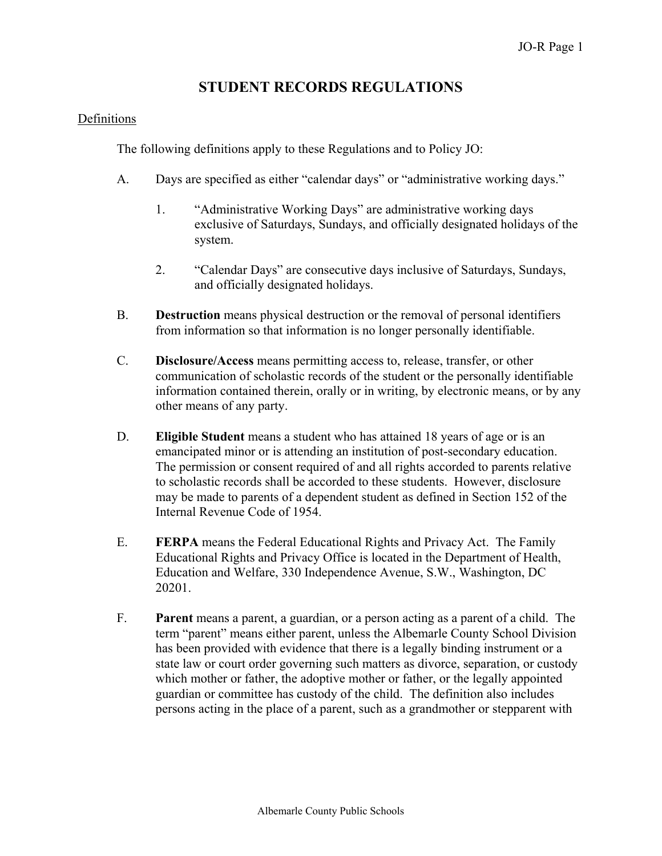# **STUDENT RECORDS REGULATIONS**

## Definitions

The following definitions apply to these Regulations and to Policy JO:

- A. Days are specified as either "calendar days" or "administrative working days."
	- 1. "Administrative Working Days" are administrative working days exclusive of Saturdays, Sundays, and officially designated holidays of the system.
	- 2. "Calendar Days" are consecutive days inclusive of Saturdays, Sundays, and officially designated holidays.
- B. **Destruction** means physical destruction or the removal of personal identifiers from information so that information is no longer personally identifiable.
- C. **Disclosure/Access** means permitting access to, release, transfer, or other communication of scholastic records of the student or the personally identifiable information contained therein, orally or in writing, by electronic means, or by any other means of any party.
- D. **Eligible Student** means a student who has attained 18 years of age or is an emancipated minor or is attending an institution of post-secondary education. The permission or consent required of and all rights accorded to parents relative to scholastic records shall be accorded to these students. However, disclosure may be made to parents of a dependent student as defined in Section 152 of the Internal Revenue Code of 1954.
- E. **FERPA** means the Federal Educational Rights and Privacy Act. The Family Educational Rights and Privacy Office is located in the Department of Health, Education and Welfare, 330 Independence Avenue, S.W., Washington, DC 20201.
- F. **Parent** means a parent, a guardian, or a person acting as a parent of a child. The term "parent" means either parent, unless the Albemarle County School Division has been provided with evidence that there is a legally binding instrument or a state law or court order governing such matters as divorce, separation, or custody which mother or father, the adoptive mother or father, or the legally appointed guardian or committee has custody of the child. The definition also includes persons acting in the place of a parent, such as a grandmother or stepparent with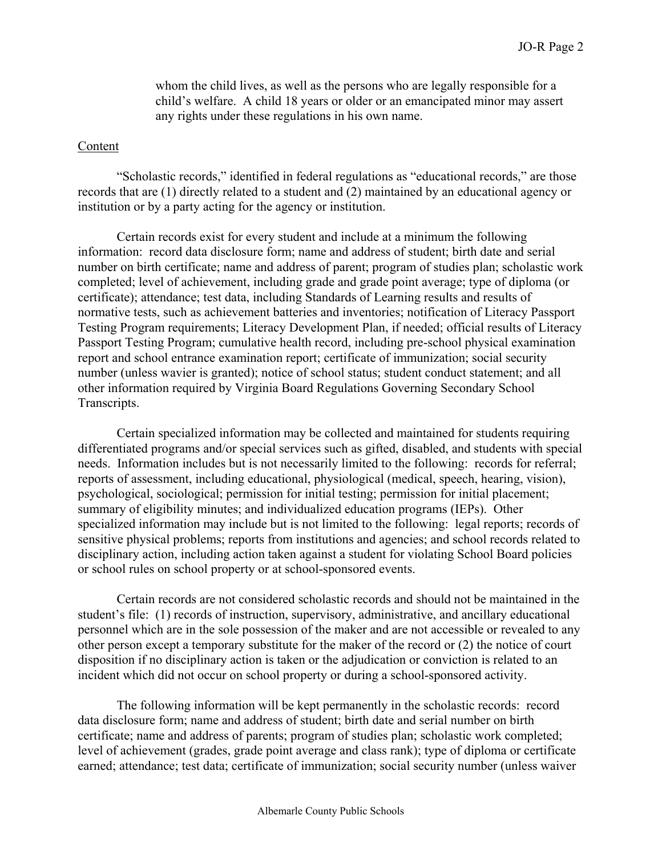whom the child lives, as well as the persons who are legally responsible for a child's welfare. A child 18 years or older or an emancipated minor may assert any rights under these regulations in his own name.

#### Content

"Scholastic records," identified in federal regulations as "educational records," are those records that are (1) directly related to a student and (2) maintained by an educational agency or institution or by a party acting for the agency or institution.

Certain records exist for every student and include at a minimum the following information: record data disclosure form; name and address of student; birth date and serial number on birth certificate; name and address of parent; program of studies plan; scholastic work completed; level of achievement, including grade and grade point average; type of diploma (or certificate); attendance; test data, including Standards of Learning results and results of normative tests, such as achievement batteries and inventories; notification of Literacy Passport Testing Program requirements; Literacy Development Plan, if needed; official results of Literacy Passport Testing Program; cumulative health record, including pre-school physical examination report and school entrance examination report; certificate of immunization; social security number (unless wavier is granted); notice of school status; student conduct statement; and all other information required by Virginia Board Regulations Governing Secondary School Transcripts.

Certain specialized information may be collected and maintained for students requiring differentiated programs and/or special services such as gifted, disabled, and students with special needs. Information includes but is not necessarily limited to the following: records for referral; reports of assessment, including educational, physiological (medical, speech, hearing, vision), psychological, sociological; permission for initial testing; permission for initial placement; summary of eligibility minutes; and individualized education programs (IEPs). Other specialized information may include but is not limited to the following: legal reports; records of sensitive physical problems; reports from institutions and agencies; and school records related to disciplinary action, including action taken against a student for violating School Board policies or school rules on school property or at school-sponsored events.

Certain records are not considered scholastic records and should not be maintained in the student's file: (1) records of instruction, supervisory, administrative, and ancillary educational personnel which are in the sole possession of the maker and are not accessible or revealed to any other person except a temporary substitute for the maker of the record or (2) the notice of court disposition if no disciplinary action is taken or the adjudication or conviction is related to an incident which did not occur on school property or during a school-sponsored activity.

The following information will be kept permanently in the scholastic records: record data disclosure form; name and address of student; birth date and serial number on birth certificate; name and address of parents; program of studies plan; scholastic work completed; level of achievement (grades, grade point average and class rank); type of diploma or certificate earned; attendance; test data; certificate of immunization; social security number (unless waiver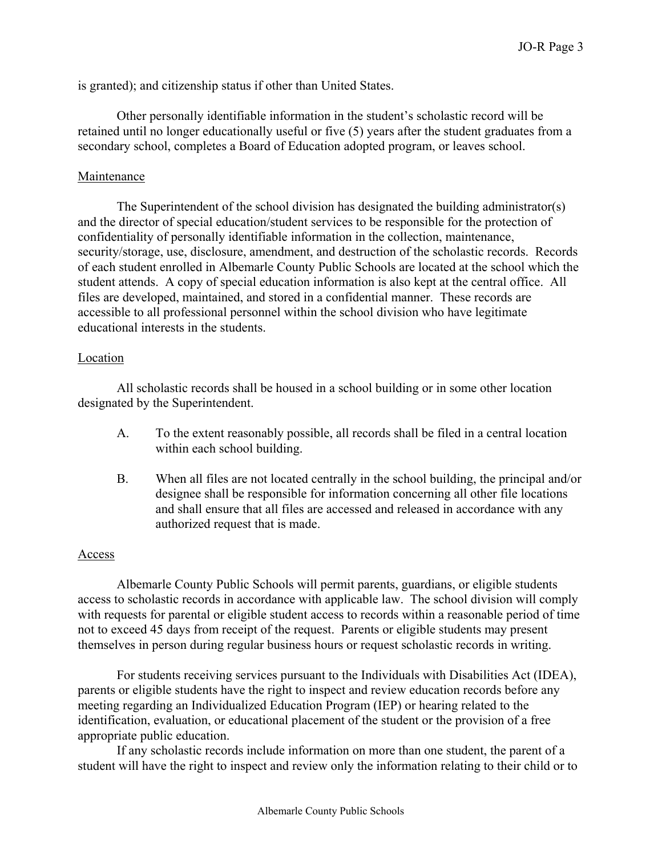is granted); and citizenship status if other than United States.

Other personally identifiable information in the student's scholastic record will be retained until no longer educationally useful or five (5) years after the student graduates from a secondary school, completes a Board of Education adopted program, or leaves school.

#### Maintenance

The Superintendent of the school division has designated the building administrator(s) and the director of special education/student services to be responsible for the protection of confidentiality of personally identifiable information in the collection, maintenance, security/storage, use, disclosure, amendment, and destruction of the scholastic records. Records of each student enrolled in Albemarle County Public Schools are located at the school which the student attends. A copy of special education information is also kept at the central office. All files are developed, maintained, and stored in a confidential manner. These records are accessible to all professional personnel within the school division who have legitimate educational interests in the students.

#### Location

All scholastic records shall be housed in a school building or in some other location designated by the Superintendent.

- A. To the extent reasonably possible, all records shall be filed in a central location within each school building.
- B. When all files are not located centrally in the school building, the principal and/or designee shall be responsible for information concerning all other file locations and shall ensure that all files are accessed and released in accordance with any authorized request that is made.

## Access

Albemarle County Public Schools will permit parents, guardians, or eligible students access to scholastic records in accordance with applicable law. The school division will comply with requests for parental or eligible student access to records within a reasonable period of time not to exceed 45 days from receipt of the request. Parents or eligible students may present themselves in person during regular business hours or request scholastic records in writing.

For students receiving services pursuant to the Individuals with Disabilities Act (IDEA), parents or eligible students have the right to inspect and review education records before any meeting regarding an Individualized Education Program (IEP) or hearing related to the identification, evaluation, or educational placement of the student or the provision of a free appropriate public education.

If any scholastic records include information on more than one student, the parent of a student will have the right to inspect and review only the information relating to their child or to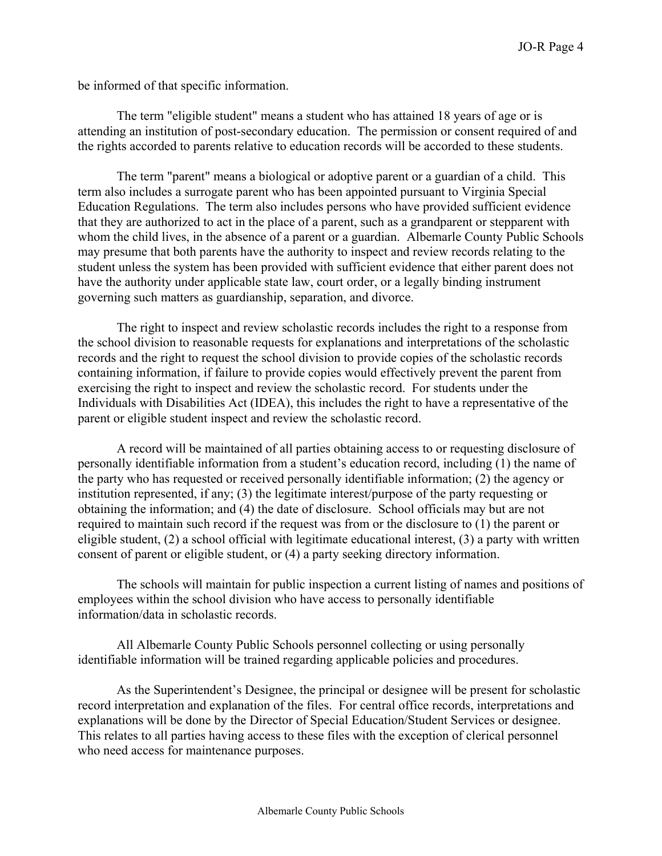be informed of that specific information.

The term "eligible student" means a student who has attained 18 years of age or is attending an institution of post-secondary education. The permission or consent required of and the rights accorded to parents relative to education records will be accorded to these students.

The term "parent" means a biological or adoptive parent or a guardian of a child. This term also includes a surrogate parent who has been appointed pursuant to Virginia Special Education Regulations. The term also includes persons who have provided sufficient evidence that they are authorized to act in the place of a parent, such as a grandparent or stepparent with whom the child lives, in the absence of a parent or a guardian. Albemarle County Public Schools may presume that both parents have the authority to inspect and review records relating to the student unless the system has been provided with sufficient evidence that either parent does not have the authority under applicable state law, court order, or a legally binding instrument governing such matters as guardianship, separation, and divorce.

The right to inspect and review scholastic records includes the right to a response from the school division to reasonable requests for explanations and interpretations of the scholastic records and the right to request the school division to provide copies of the scholastic records containing information, if failure to provide copies would effectively prevent the parent from exercising the right to inspect and review the scholastic record. For students under the Individuals with Disabilities Act (IDEA), this includes the right to have a representative of the parent or eligible student inspect and review the scholastic record.

A record will be maintained of all parties obtaining access to or requesting disclosure of personally identifiable information from a student's education record, including (1) the name of the party who has requested or received personally identifiable information; (2) the agency or institution represented, if any; (3) the legitimate interest/purpose of the party requesting or obtaining the information; and (4) the date of disclosure. School officials may but are not required to maintain such record if the request was from or the disclosure to (1) the parent or eligible student, (2) a school official with legitimate educational interest, (3) a party with written consent of parent or eligible student, or (4) a party seeking directory information.

The schools will maintain for public inspection a current listing of names and positions of employees within the school division who have access to personally identifiable information/data in scholastic records.

All Albemarle County Public Schools personnel collecting or using personally identifiable information will be trained regarding applicable policies and procedures.

As the Superintendent's Designee, the principal or designee will be present for scholastic record interpretation and explanation of the files. For central office records, interpretations and explanations will be done by the Director of Special Education/Student Services or designee. This relates to all parties having access to these files with the exception of clerical personnel who need access for maintenance purposes.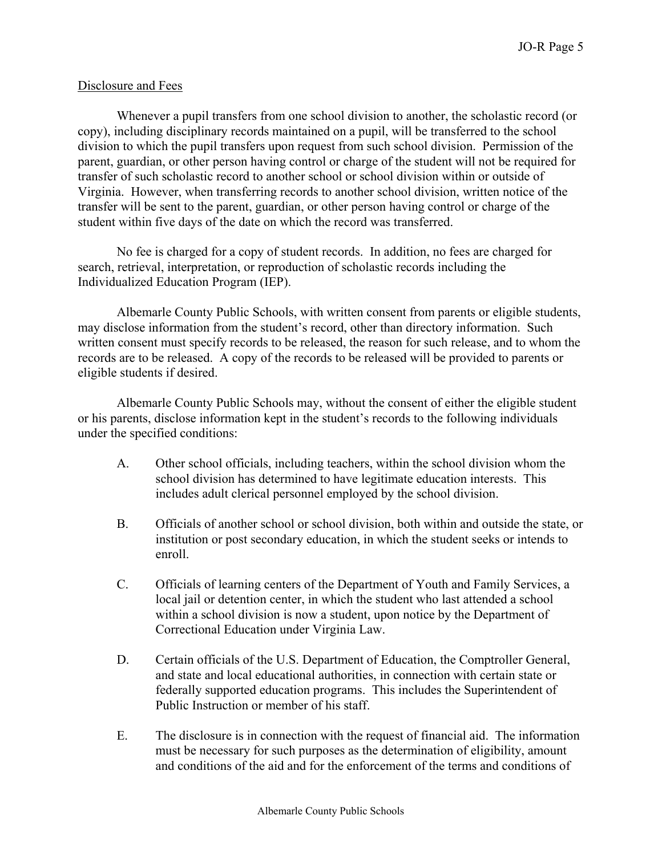## Disclosure and Fees

Whenever a pupil transfers from one school division to another, the scholastic record (or copy), including disciplinary records maintained on a pupil, will be transferred to the school division to which the pupil transfers upon request from such school division. Permission of the parent, guardian, or other person having control or charge of the student will not be required for transfer of such scholastic record to another school or school division within or outside of Virginia. However, when transferring records to another school division, written notice of the transfer will be sent to the parent, guardian, or other person having control or charge of the student within five days of the date on which the record was transferred.

No fee is charged for a copy of student records. In addition, no fees are charged for search, retrieval, interpretation, or reproduction of scholastic records including the Individualized Education Program (IEP).

Albemarle County Public Schools, with written consent from parents or eligible students, may disclose information from the student's record, other than directory information. Such written consent must specify records to be released, the reason for such release, and to whom the records are to be released. A copy of the records to be released will be provided to parents or eligible students if desired.

Albemarle County Public Schools may, without the consent of either the eligible student or his parents, disclose information kept in the student's records to the following individuals under the specified conditions:

- A. Other school officials, including teachers, within the school division whom the school division has determined to have legitimate education interests. This includes adult clerical personnel employed by the school division.
- B. Officials of another school or school division, both within and outside the state, or institution or post secondary education, in which the student seeks or intends to enroll.
- C. Officials of learning centers of the Department of Youth and Family Services, a local jail or detention center, in which the student who last attended a school within a school division is now a student, upon notice by the Department of Correctional Education under Virginia Law.
- D. Certain officials of the U.S. Department of Education, the Comptroller General, and state and local educational authorities, in connection with certain state or federally supported education programs. This includes the Superintendent of Public Instruction or member of his staff.
- E. The disclosure is in connection with the request of financial aid. The information must be necessary for such purposes as the determination of eligibility, amount and conditions of the aid and for the enforcement of the terms and conditions of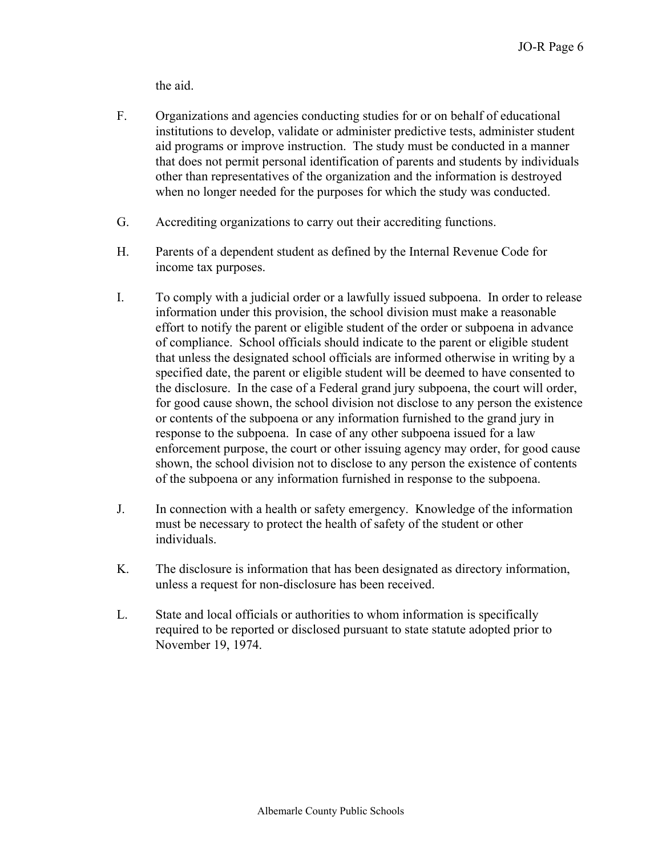the aid.

- F. Organizations and agencies conducting studies for or on behalf of educational institutions to develop, validate or administer predictive tests, administer student aid programs or improve instruction. The study must be conducted in a manner that does not permit personal identification of parents and students by individuals other than representatives of the organization and the information is destroyed when no longer needed for the purposes for which the study was conducted.
- G. Accrediting organizations to carry out their accrediting functions.
- H. Parents of a dependent student as defined by the Internal Revenue Code for income tax purposes.
- I. To comply with a judicial order or a lawfully issued subpoena. In order to release information under this provision, the school division must make a reasonable effort to notify the parent or eligible student of the order or subpoena in advance of compliance. School officials should indicate to the parent or eligible student that unless the designated school officials are informed otherwise in writing by a specified date, the parent or eligible student will be deemed to have consented to the disclosure. In the case of a Federal grand jury subpoena, the court will order, for good cause shown, the school division not disclose to any person the existence or contents of the subpoena or any information furnished to the grand jury in response to the subpoena. In case of any other subpoena issued for a law enforcement purpose, the court or other issuing agency may order, for good cause shown, the school division not to disclose to any person the existence of contents of the subpoena or any information furnished in response to the subpoena.
- J. In connection with a health or safety emergency. Knowledge of the information must be necessary to protect the health of safety of the student or other individuals.
- K. The disclosure is information that has been designated as directory information, unless a request for non-disclosure has been received.
- L. State and local officials or authorities to whom information is specifically required to be reported or disclosed pursuant to state statute adopted prior to November 19, 1974.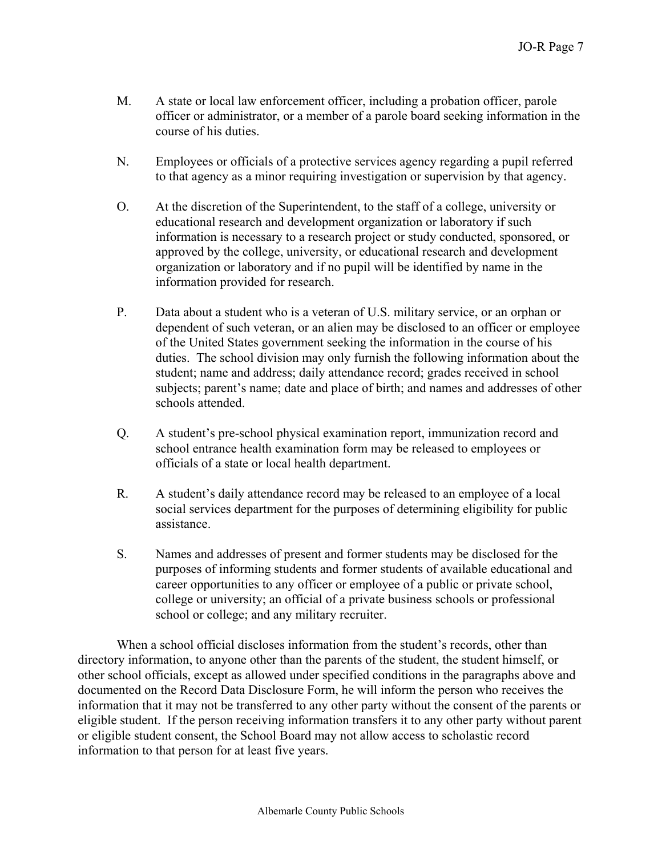- M. A state or local law enforcement officer, including a probation officer, parole officer or administrator, or a member of a parole board seeking information in the course of his duties.
- N. Employees or officials of a protective services agency regarding a pupil referred to that agency as a minor requiring investigation or supervision by that agency.
- O. At the discretion of the Superintendent, to the staff of a college, university or educational research and development organization or laboratory if such information is necessary to a research project or study conducted, sponsored, or approved by the college, university, or educational research and development organization or laboratory and if no pupil will be identified by name in the information provided for research.
- P. Data about a student who is a veteran of U.S. military service, or an orphan or dependent of such veteran, or an alien may be disclosed to an officer or employee of the United States government seeking the information in the course of his duties. The school division may only furnish the following information about the student; name and address; daily attendance record; grades received in school subjects; parent's name; date and place of birth; and names and addresses of other schools attended.
- Q. A student's pre-school physical examination report, immunization record and school entrance health examination form may be released to employees or officials of a state or local health department.
- R. A student's daily attendance record may be released to an employee of a local social services department for the purposes of determining eligibility for public assistance.
- S. Names and addresses of present and former students may be disclosed for the purposes of informing students and former students of available educational and career opportunities to any officer or employee of a public or private school, college or university; an official of a private business schools or professional school or college; and any military recruiter.

When a school official discloses information from the student's records, other than directory information, to anyone other than the parents of the student, the student himself, or other school officials, except as allowed under specified conditions in the paragraphs above and documented on the Record Data Disclosure Form, he will inform the person who receives the information that it may not be transferred to any other party without the consent of the parents or eligible student. If the person receiving information transfers it to any other party without parent or eligible student consent, the School Board may not allow access to scholastic record information to that person for at least five years.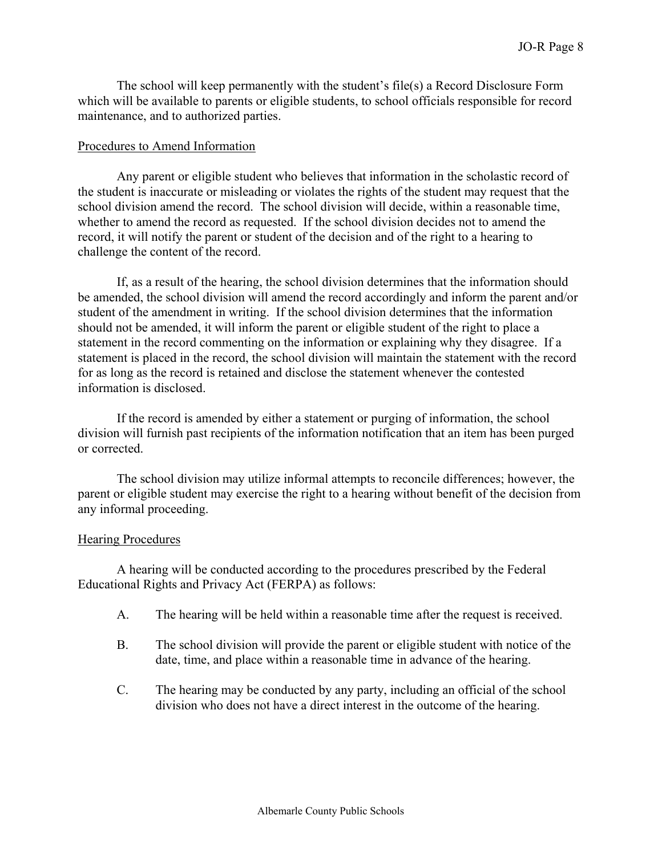The school will keep permanently with the student's file(s) a Record Disclosure Form which will be available to parents or eligible students, to school officials responsible for record maintenance, and to authorized parties.

#### Procedures to Amend Information

Any parent or eligible student who believes that information in the scholastic record of the student is inaccurate or misleading or violates the rights of the student may request that the school division amend the record. The school division will decide, within a reasonable time, whether to amend the record as requested. If the school division decides not to amend the record, it will notify the parent or student of the decision and of the right to a hearing to challenge the content of the record.

If, as a result of the hearing, the school division determines that the information should be amended, the school division will amend the record accordingly and inform the parent and/or student of the amendment in writing. If the school division determines that the information should not be amended, it will inform the parent or eligible student of the right to place a statement in the record commenting on the information or explaining why they disagree. If a statement is placed in the record, the school division will maintain the statement with the record for as long as the record is retained and disclose the statement whenever the contested information is disclosed.

If the record is amended by either a statement or purging of information, the school division will furnish past recipients of the information notification that an item has been purged or corrected.

The school division may utilize informal attempts to reconcile differences; however, the parent or eligible student may exercise the right to a hearing without benefit of the decision from any informal proceeding.

#### Hearing Procedures

A hearing will be conducted according to the procedures prescribed by the Federal Educational Rights and Privacy Act (FERPA) as follows:

- A. The hearing will be held within a reasonable time after the request is received.
- B. The school division will provide the parent or eligible student with notice of the date, time, and place within a reasonable time in advance of the hearing.
- C. The hearing may be conducted by any party, including an official of the school division who does not have a direct interest in the outcome of the hearing.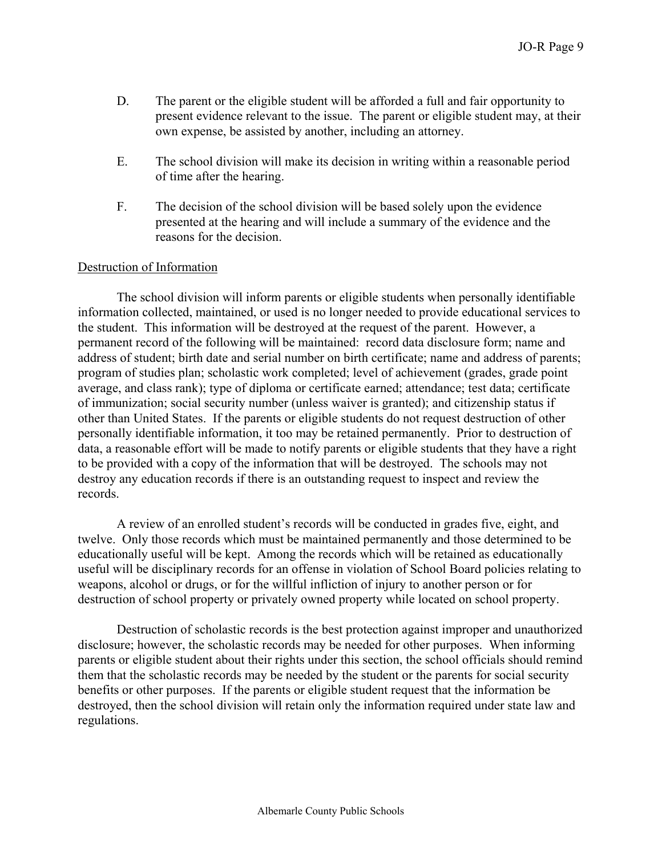- D. The parent or the eligible student will be afforded a full and fair opportunity to present evidence relevant to the issue. The parent or eligible student may, at their own expense, be assisted by another, including an attorney.
- E. The school division will make its decision in writing within a reasonable period of time after the hearing.
- F. The decision of the school division will be based solely upon the evidence presented at the hearing and will include a summary of the evidence and the reasons for the decision.

#### Destruction of Information

The school division will inform parents or eligible students when personally identifiable information collected, maintained, or used is no longer needed to provide educational services to the student. This information will be destroyed at the request of the parent. However, a permanent record of the following will be maintained: record data disclosure form; name and address of student; birth date and serial number on birth certificate; name and address of parents; program of studies plan; scholastic work completed; level of achievement (grades, grade point average, and class rank); type of diploma or certificate earned; attendance; test data; certificate of immunization; social security number (unless waiver is granted); and citizenship status if other than United States. If the parents or eligible students do not request destruction of other personally identifiable information, it too may be retained permanently. Prior to destruction of data, a reasonable effort will be made to notify parents or eligible students that they have a right to be provided with a copy of the information that will be destroyed. The schools may not destroy any education records if there is an outstanding request to inspect and review the records.

A review of an enrolled student's records will be conducted in grades five, eight, and twelve. Only those records which must be maintained permanently and those determined to be educationally useful will be kept. Among the records which will be retained as educationally useful will be disciplinary records for an offense in violation of School Board policies relating to weapons, alcohol or drugs, or for the willful infliction of injury to another person or for destruction of school property or privately owned property while located on school property.

Destruction of scholastic records is the best protection against improper and unauthorized disclosure; however, the scholastic records may be needed for other purposes. When informing parents or eligible student about their rights under this section, the school officials should remind them that the scholastic records may be needed by the student or the parents for social security benefits or other purposes. If the parents or eligible student request that the information be destroyed, then the school division will retain only the information required under state law and regulations.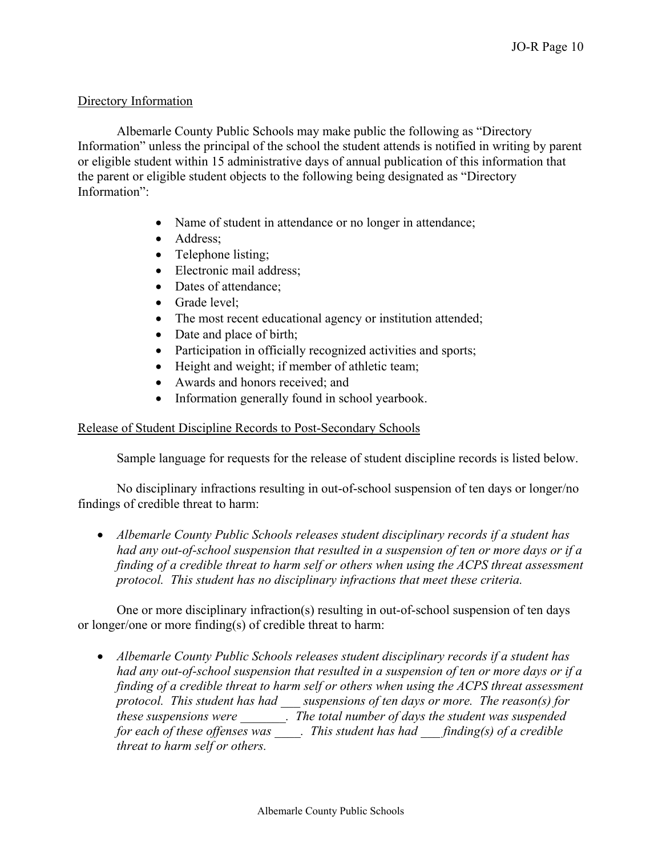# Directory Information

Albemarle County Public Schools may make public the following as "Directory Information" unless the principal of the school the student attends is notified in writing by parent or eligible student within 15 administrative days of annual publication of this information that the parent or eligible student objects to the following being designated as "Directory Information":

- Name of student in attendance or no longer in attendance;
- Address;
- Telephone listing;
- Electronic mail address;
- Dates of attendance;
- Grade level:
- The most recent educational agency or institution attended;
- Date and place of birth;
- Participation in officially recognized activities and sports;
- Height and weight; if member of athletic team;
- Awards and honors received; and
- Information generally found in school yearbook.

## Release of Student Discipline Records to Post-Secondary Schools

Sample language for requests for the release of student discipline records is listed below.

 No disciplinary infractions resulting in out-of-school suspension of ten days or longer/no findings of credible threat to harm:

 *Albemarle County Public Schools releases student disciplinary records if a student has had any out-of-school suspension that resulted in a suspension of ten or more days or if a finding of a credible threat to harm self or others when using the ACPS threat assessment protocol. This student has no disciplinary infractions that meet these criteria.*

 One or more disciplinary infraction(s) resulting in out-of-school suspension of ten days or longer/one or more finding(s) of credible threat to harm:

 *Albemarle County Public Schools releases student disciplinary records if a student has had any out-of-school suspension that resulted in a suspension of ten or more days or if a finding of a credible threat to harm self or others when using the ACPS threat assessment protocol. This student has had \_\_\_ suspensions of ten days or more. The reason(s) for these suspensions were \_\_\_\_\_\_\_. The total number of days the student was suspended*  for each of these offenses was \_\_\_\_. This student has had \_\_\_finding(s) of a credible *threat to harm self or others.*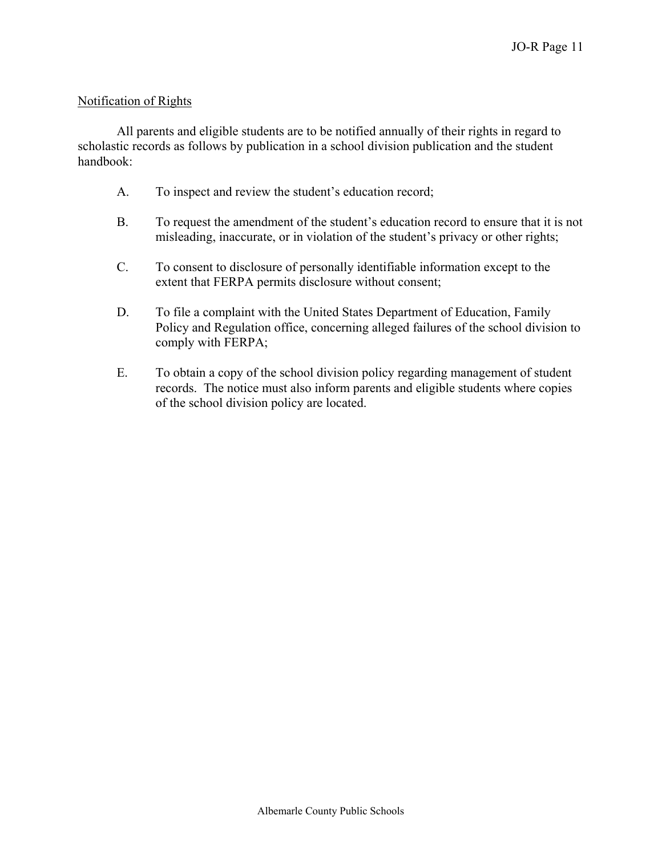# Notification of Rights

All parents and eligible students are to be notified annually of their rights in regard to scholastic records as follows by publication in a school division publication and the student handbook:

- A. To inspect and review the student's education record;
- B. To request the amendment of the student's education record to ensure that it is not misleading, inaccurate, or in violation of the student's privacy or other rights;
- C. To consent to disclosure of personally identifiable information except to the extent that FERPA permits disclosure without consent;
- D. To file a complaint with the United States Department of Education, Family Policy and Regulation office, concerning alleged failures of the school division to comply with FERPA;
- E. To obtain a copy of the school division policy regarding management of student records. The notice must also inform parents and eligible students where copies of the school division policy are located.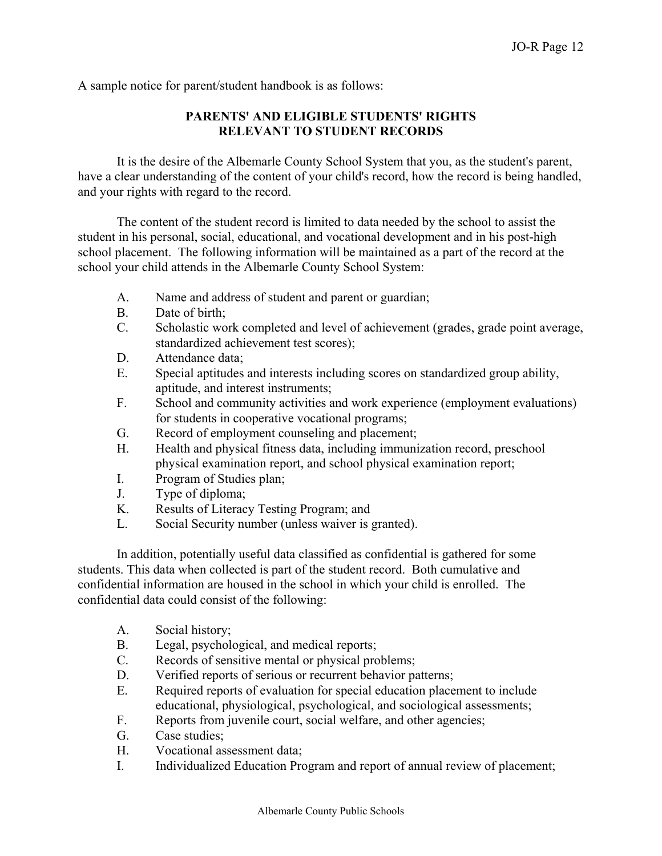A sample notice for parent/student handbook is as follows:

# **PARENTS' AND ELIGIBLE STUDENTS' RIGHTS RELEVANT TO STUDENT RECORDS**

It is the desire of the Albemarle County School System that you, as the student's parent, have a clear understanding of the content of your child's record, how the record is being handled, and your rights with regard to the record.

The content of the student record is limited to data needed by the school to assist the student in his personal, social, educational, and vocational development and in his post-high school placement. The following information will be maintained as a part of the record at the school your child attends in the Albemarle County School System:

- A. Name and address of student and parent or guardian;
- B. Date of birth;
- C. Scholastic work completed and level of achievement (grades, grade point average, standardized achievement test scores);
- D. Attendance data;
- E. Special aptitudes and interests including scores on standardized group ability, aptitude, and interest instruments;
- F. School and community activities and work experience (employment evaluations) for students in cooperative vocational programs;
- G. Record of employment counseling and placement;
- H. Health and physical fitness data, including immunization record, preschool physical examination report, and school physical examination report;
- I. Program of Studies plan;
- J. Type of diploma;
- K. Results of Literacy Testing Program; and
- L. Social Security number (unless waiver is granted).

In addition, potentially useful data classified as confidential is gathered for some students. This data when collected is part of the student record. Both cumulative and confidential information are housed in the school in which your child is enrolled. The confidential data could consist of the following:

- A. Social history;
- B. Legal, psychological, and medical reports;
- C. Records of sensitive mental or physical problems;
- D. Verified reports of serious or recurrent behavior patterns;
- E. Required reports of evaluation for special education placement to include educational, physiological, psychological, and sociological assessments;
- F. Reports from juvenile court, social welfare, and other agencies;
- G. Case studies;
- H. Vocational assessment data;
- I. Individualized Education Program and report of annual review of placement;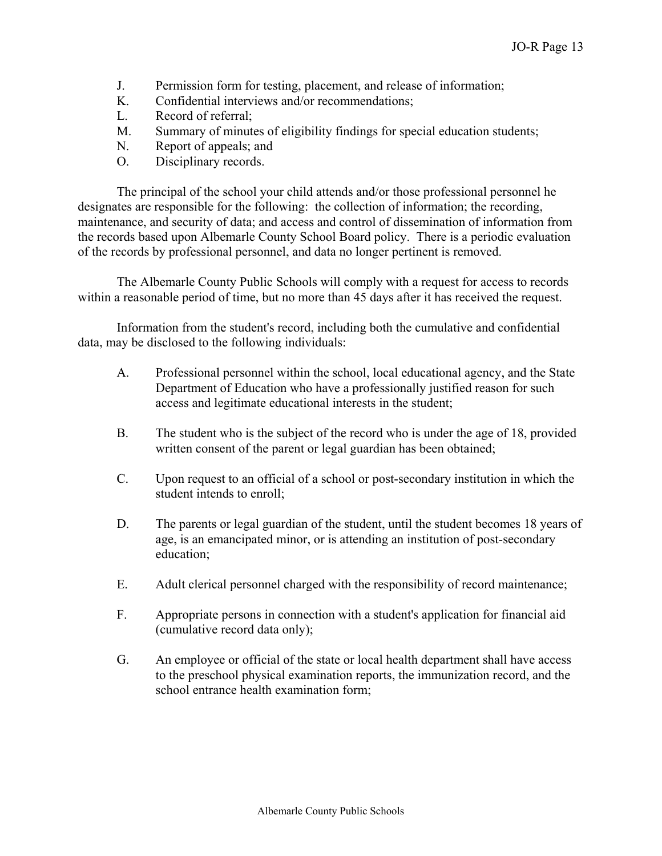- J. Permission form for testing, placement, and release of information;
- K. Confidential interviews and/or recommendations;
- L. Record of referral;
- M. Summary of minutes of eligibility findings for special education students;
- N. Report of appeals; and
- O. Disciplinary records.

The principal of the school your child attends and/or those professional personnel he designates are responsible for the following: the collection of information; the recording, maintenance, and security of data; and access and control of dissemination of information from the records based upon Albemarle County School Board policy. There is a periodic evaluation of the records by professional personnel, and data no longer pertinent is removed.

The Albemarle County Public Schools will comply with a request for access to records within a reasonable period of time, but no more than 45 days after it has received the request.

Information from the student's record, including both the cumulative and confidential data, may be disclosed to the following individuals:

- A. Professional personnel within the school, local educational agency, and the State Department of Education who have a professionally justified reason for such access and legitimate educational interests in the student;
- B. The student who is the subject of the record who is under the age of 18, provided written consent of the parent or legal guardian has been obtained;
- C. Upon request to an official of a school or post-secondary institution in which the student intends to enroll;
- D. The parents or legal guardian of the student, until the student becomes 18 years of age, is an emancipated minor, or is attending an institution of post-secondary education;
- E. Adult clerical personnel charged with the responsibility of record maintenance;
- F. Appropriate persons in connection with a student's application for financial aid (cumulative record data only);
- G. An employee or official of the state or local health department shall have access to the preschool physical examination reports, the immunization record, and the school entrance health examination form;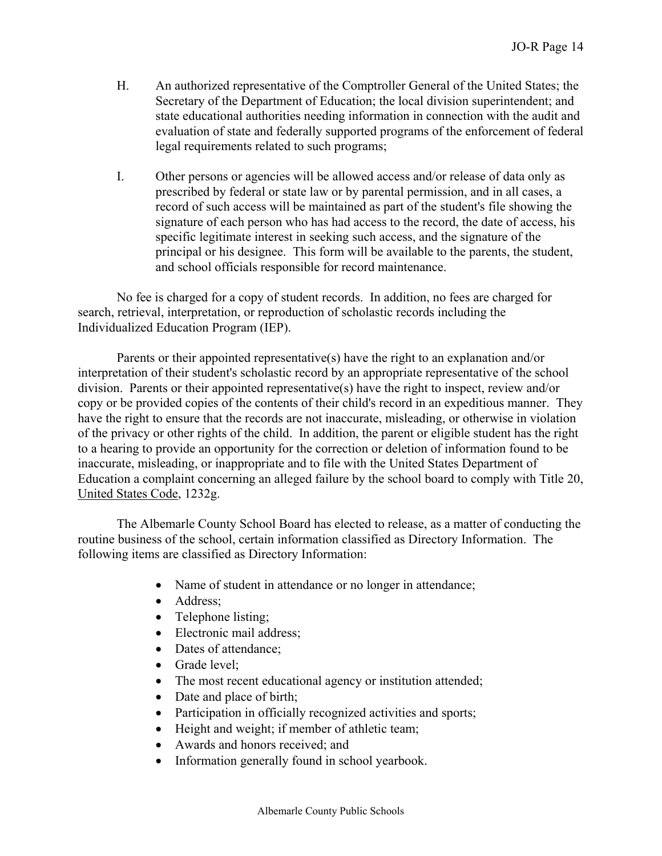- H. An authorized representative of the Comptroller General of the United States; the Secretary of the Department of Education; the local division superintendent; and state educational authorities needing information in connection with the audit and evaluation of state and federally supported programs of the enforcement of federal legal requirements related to such programs;
- I. Other persons or agencies will be allowed access and/or release of data only as prescribed by federal or state law or by parental permission, and in all cases, a record of such access will be maintained as part of the student's file showing the signature of each person who has had access to the record, the date of access, his specific legitimate interest in seeking such access, and the signature of the principal or his designee. This form will be available to the parents, the student, and school officials responsible for record maintenance.

No fee is charged for a copy of student records. In addition, no fees are charged for search, retrieval, interpretation, or reproduction of scholastic records including the Individualized Education Program (IEP).

Parents or their appointed representative(s) have the right to an explanation and/or interpretation of their student's scholastic record by an appropriate representative of the school division. Parents or their appointed representative(s) have the right to inspect, review and/or copy or be provided copies of the contents of their child's record in an expeditious manner. They have the right to ensure that the records are not inaccurate, misleading, or otherwise in violation of the privacy or other rights of the child. In addition, the parent or eligible student has the right to a hearing to provide an opportunity for the correction or deletion of information found to be inaccurate, misleading, or inappropriate and to file with the United States Department of Education a complaint concerning an alleged failure by the school board to comply with Title 20, United States Code, 1232g.

The Albemarle County School Board has elected to release, as a matter of conducting the routine business of the school, certain information classified as Directory Information. The following items are classified as Directory Information:

- Name of student in attendance or no longer in attendance;
- Address;
- Telephone listing;
- Electronic mail address;
- Dates of attendance:
- Grade level;
- The most recent educational agency or institution attended;
- Date and place of birth;
- Participation in officially recognized activities and sports;
- Height and weight; if member of athletic team;
- Awards and honors received; and
- Information generally found in school yearbook.